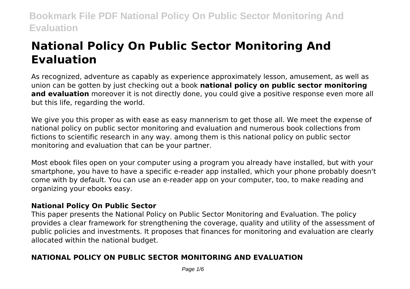# **National Policy On Public Sector Monitoring And Evaluation**

As recognized, adventure as capably as experience approximately lesson, amusement, as well as union can be gotten by just checking out a book **national policy on public sector monitoring and evaluation** moreover it is not directly done, you could give a positive response even more all but this life, regarding the world.

We give you this proper as with ease as easy mannerism to get those all. We meet the expense of national policy on public sector monitoring and evaluation and numerous book collections from fictions to scientific research in any way. among them is this national policy on public sector monitoring and evaluation that can be your partner.

Most ebook files open on your computer using a program you already have installed, but with your smartphone, you have to have a specific e-reader app installed, which your phone probably doesn't come with by default. You can use an e-reader app on your computer, too, to make reading and organizing your ebooks easy.

## **National Policy On Public Sector**

This paper presents the National Policy on Public Sector Monitoring and Evaluation. The policy provides a clear framework for strengthening the coverage, quality and utility of the assessment of public policies and investments. It proposes that finances for monitoring and evaluation are clearly allocated within the national budget.

## **NATIONAL POLICY ON PUBLIC SECTOR MONITORING AND EVALUATION**

Page 1/6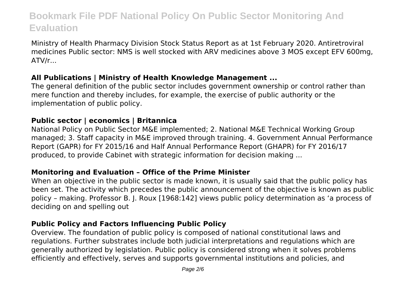Ministry of Health Pharmacy Division Stock Status Report as at 1st February 2020. Antiretroviral medicines Public sector: NMS is well stocked with ARV medicines above 3 MOS except EFV 600mg, ATV/r...

## **All Publications | Ministry of Health Knowledge Management ...**

The general definition of the public sector includes government ownership or control rather than mere function and thereby includes, for example, the exercise of public authority or the implementation of public policy.

## **Public sector | economics | Britannica**

National Policy on Public Sector M&E implemented; 2. National M&E Technical Working Group managed; 3. Staff capacity in M&E improved through training. 4. Government Annual Performance Report (GAPR) for FY 2015/16 and Half Annual Performance Report (GHAPR) for FY 2016/17 produced, to provide Cabinet with strategic information for decision making ...

## **Monitoring and Evaluation – Office of the Prime Minister**

When an objective in the public sector is made known, it is usually said that the public policy has been set. The activity which precedes the public announcement of the objective is known as public policy – making. Professor B. J. Roux [1968:142] views public policy determination as 'a process of deciding on and spelling out

## **Public Policy and Factors Influencing Public Policy**

Overview. The foundation of public policy is composed of national constitutional laws and regulations. Further substrates include both judicial interpretations and regulations which are generally authorized by legislation. Public policy is considered strong when it solves problems efficiently and effectively, serves and supports governmental institutions and policies, and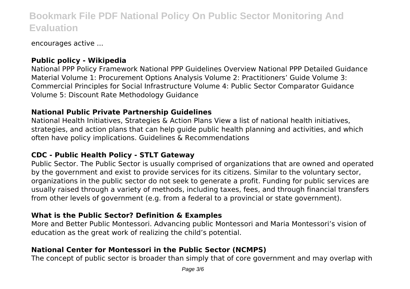encourages active ...

## **Public policy - Wikipedia**

National PPP Policy Framework National PPP Guidelines Overview National PPP Detailed Guidance Material Volume 1: Procurement Options Analysis Volume 2: Practitioners' Guide Volume 3: Commercial Principles for Social Infrastructure Volume 4: Public Sector Comparator Guidance Volume 5: Discount Rate Methodology Guidance

## **National Public Private Partnership Guidelines**

National Health Initiatives, Strategies & Action Plans View a list of national health initiatives, strategies, and action plans that can help guide public health planning and activities, and which often have policy implications. Guidelines & Recommendations

## **CDC - Public Health Policy - STLT Gateway**

Public Sector. The Public Sector is usually comprised of organizations that are owned and operated by the government and exist to provide services for its citizens. Similar to the voluntary sector, organizations in the public sector do not seek to generate a profit. Funding for public services are usually raised through a variety of methods, including taxes, fees, and through financial transfers from other levels of government (e.g. from a federal to a provincial or state government).

## **What is the Public Sector? Definition & Examples**

More and Better Public Montessori. Advancing public Montessori and Maria Montessori's vision of education as the great work of realizing the child's potential.

## **National Center for Montessori in the Public Sector (NCMPS)**

The concept of public sector is broader than simply that of core government and may overlap with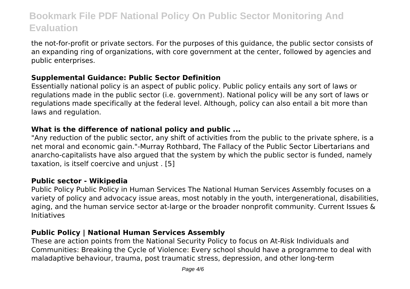the not-for-profit or private sectors. For the purposes of this guidance, the public sector consists of an expanding ring of organizations, with core government at the center, followed by agencies and public enterprises.

## **Supplemental Guidance: Public Sector Definition**

Essentially national policy is an aspect of public policy. Public policy entails any sort of laws or regulations made in the public sector (i.e. government). National policy will be any sort of laws or regulations made specifically at the federal level. Although, policy can also entail a bit more than laws and regulation.

## **What is the difference of national policy and public ...**

"Any reduction of the public sector, any shift of activities from the public to the private sphere, is a net moral and economic gain."-Murray Rothbard, The Fallacy of the Public Sector Libertarians and anarcho-capitalists have also argued that the system by which the public sector is funded, namely taxation, is itself coercive and unjust . [5]

## **Public sector - Wikipedia**

Public Policy Public Policy in Human Services The National Human Services Assembly focuses on a variety of policy and advocacy issue areas, most notably in the youth, intergenerational, disabilities, aging, and the human service sector at-large or the broader nonprofit community. Current Issues & Initiatives

## **Public Policy | National Human Services Assembly**

These are action points from the National Security Policy to focus on At-Risk Individuals and Communities: Breaking the Cycle of Violence: Every school should have a programme to deal with maladaptive behaviour, trauma, post traumatic stress, depression, and other long-term